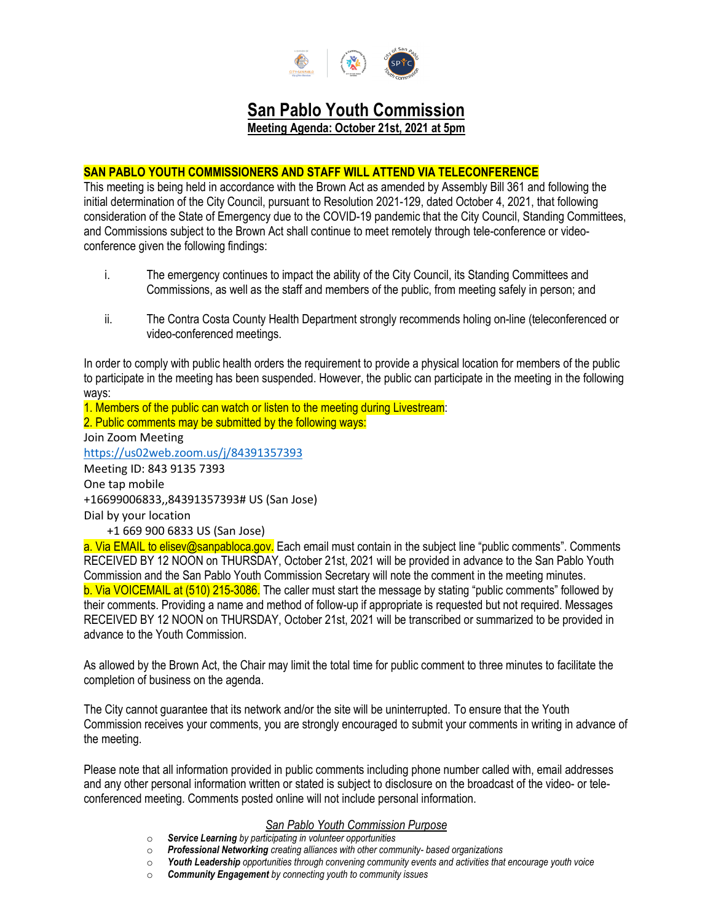

# **San Pablo Youth Commission**

**Meeting Agenda: October 21st, 2021 at 5pm**

# **SAN PABLO YOUTH COMMISSIONERS AND STAFF WILL ATTEND VIA TELECONFERENCE**

This meeting is being held in accordance with the Brown Act as amended by Assembly Bill 361 and following the initial determination of the City Council, pursuant to Resolution 2021-129, dated October 4, 2021, that following consideration of the State of Emergency due to the COVID-19 pandemic that the City Council, Standing Committees, and Commissions subject to the Brown Act shall continue to meet remotely through tele-conference or videoconference given the following findings:

- i. The emergency continues to impact the ability of the City Council, its Standing Committees and Commissions, as well as the staff and members of the public, from meeting safely in person; and
- ii. The Contra Costa County Health Department strongly recommends holing on-line (teleconferenced or video-conferenced meetings.

In order to comply with public health orders the requirement to provide a physical location for members of the public to participate in the meeting has been suspended. However, the public can participate in the meeting in the following ways:

1. Members of the public can watch or listen to the meeting during Livestream: 2. Public comments may be submitted by the following ways: Join Zoom Meeting <https://us02web.zoom.us/j/84391357393> Meeting ID: 843 9135 7393 One tap mobile +16699006833,,84391357393# US (San Jose) Dial by your location +1 669 900 6833 US (San Jose) a. Via EMAIL to elisev@sanpabloca.gov. Each email must contain in the subiect line "public comments". Comments

RECEIVED BY 12 NOON on THURSDAY, October 21st, 2021 will be provided in advance to the San Pablo Youth Commission and the San Pablo Youth Commission Secretary will note the comment in the meeting minutes. b. Via VOICEMAIL at (510) 215-3086. The caller must start the message by stating "public comments" followed by their comments. Providing a name and method of follow-up if appropriate is requested but not required. Messages RECEIVED BY 12 NOON on THURSDAY, October 21st, 2021 will be transcribed or summarized to be provided in advance to the Youth Commission.

As allowed by the Brown Act, the Chair may limit the total time for public comment to three minutes to facilitate the completion of business on the agenda.

The City cannot guarantee that its network and/or the site will be uninterrupted. To ensure that the Youth Commission receives your comments, you are strongly encouraged to submit your comments in writing in advance of the meeting.

Please note that all information provided in public comments including phone number called with, email addresses and any other personal information written or stated is subject to disclosure on the broadcast of the video- or teleconferenced meeting. Comments posted online will not include personal information.

## *San Pablo Youth Commission Purpose*

- o *Service Learning by participating in volunteer opportunities*
- o *Professional Networking creating alliances with other community- based organizations*
- o *Youth Leadership opportunities through convening community events and activities that encourage youth voice*
- **Community Engagement** by connecting youth to community issues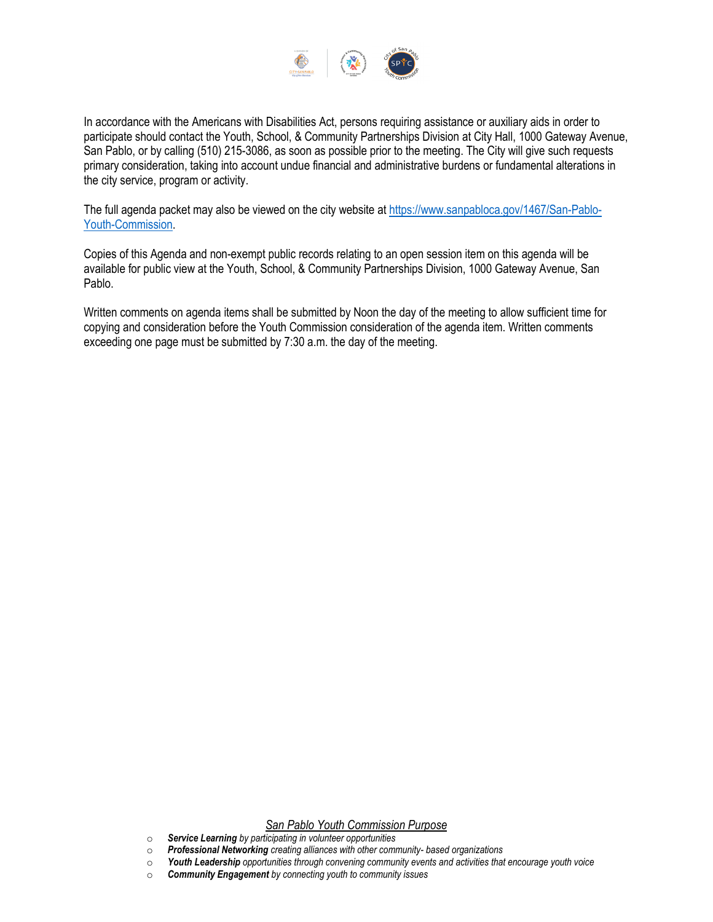

In accordance with the Americans with Disabilities Act, persons requiring assistance or auxiliary aids in order to participate should contact the Youth, School, & Community Partnerships Division at City Hall, 1000 Gateway Avenue, San Pablo, or by calling (510) 215-3086, as soon as possible prior to the meeting. The City will give such requests primary consideration, taking into account undue financial and administrative burdens or fundamental alterations in the city service, program or activity.

The full agenda packet may also be viewed on the city website at [https://www.sanpabloca.gov/1467/San-Pablo-](https://www.sanpabloca.gov/1467/San-Pablo-Youth-Commission)[Youth-Commission.](https://www.sanpabloca.gov/1467/San-Pablo-Youth-Commission)

Copies of this Agenda and non-exempt public records relating to an open session item on this agenda will be available for public view at the Youth, School, & Community Partnerships Division, 1000 Gateway Avenue, San Pablo.

Written comments on agenda items shall be submitted by Noon the day of the meeting to allow sufficient time for copying and consideration before the Youth Commission consideration of the agenda item. Written comments exceeding one page must be submitted by 7:30 a.m. the day of the meeting.

#### *San Pablo Youth Commission Purpose*

- o *Service Learning by participating in volunteer opportunities*
- o *Professional Networking creating alliances with other community- based organizations*
- o *Youth Leadership opportunities through convening community events and activities that encourage youth voice*
- **Community Engagement** by connecting youth to community issues